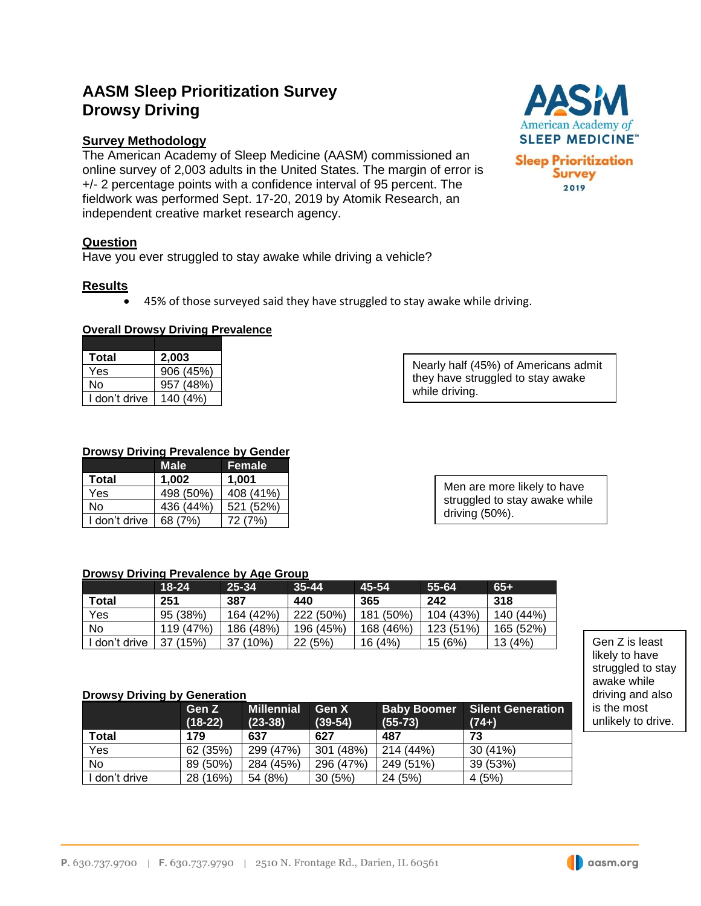# **AASM Sleep Prioritization Survey Drowsy Driving**

# **Survey Methodology**

The American Academy of Sleep Medicine (AASM) commissioned an online survey of 2,003 adults in the United States. The margin of error is +/- 2 percentage points with a confidence interval of 95 percent. The fieldwork was performed Sept. 17-20, 2019 by Atomik Research, an independent creative market research agency.

# **Question**

Have you ever struggled to stay awake while driving a vehicle?

# **Results**

45% of those surveyed said they have struggled to stay awake while driving.

# **Overall Drowsy Driving Prevalence**

| <b>Total</b>  | 2,003     |
|---------------|-----------|
| Yes           | 906 (45%) |
| N٥            | 957 (48%) |
| I don't drive | 140(4%)   |

## **Drowsy Driving Prevalence by Gender**

|               | <b>Male</b> | <b>Female</b> |  |
|---------------|-------------|---------------|--|
| <b>Total</b>  | 1,002       | 1,001         |  |
| Yes           | 498 (50%)   | 408 (41%)     |  |
| No            | 436 (44%)   | 521 (52%)     |  |
| I don't drive | 68 (7%)     | 72 (7%)       |  |

### **Drowsy Driving Prevalence by Age Group**

|               | $18 - 24$ | $25 - 34$ | $35 - 44$ | 45-54     | 55-64     | $65+$     |
|---------------|-----------|-----------|-----------|-----------|-----------|-----------|
| Total         | 251       | 387       | 440       | 365       | 242       | 318       |
| Yes           | 95 (38%)  | 164 (42%) | 222 (50%) | 181 (50%) | 104 (43%) | 140 (44%) |
| No            | 119 (47%) | 186 (48%) | 196 (45%) | 168 (46%) | 123(51%)  | 165 (52%) |
| I don't drive | 37 (15%)  | 37 (10%)  | 22(5%)    | 16 (4%)   | 15 (6%)   | 13(4%)    |

### **Drowsy Driving by Generation**

|               | Gen Z<br>$(18-22)$ | <b>Millennial</b><br>$(23-38)$ | <b>Gen X</b><br>$(39-54)$ | <b>Baby Boomer</b><br>$(55-73)$ | <b>Silent Generation</b><br>$(74+)$ |
|---------------|--------------------|--------------------------------|---------------------------|---------------------------------|-------------------------------------|
| Total         | 179                | 637                            | 627                       | 487                             | 73                                  |
| Yes           | 62 (35%)           | 299 (47%)                      | 301 (48%)                 | 214 (44%)                       | 30 (41%)                            |
| No            | 89 (50%)           | 284 (45%)                      | 296 (47%)                 | 249 (51%)                       | 39 (53%)                            |
| l don't drive | 28 (16%)           | 54 (8%)                        | 30(5%)                    | 24 (5%)                         | 4(5%)                               |

**American Academy of SLEEP MEDICINE® Sleep Prioritization Survey** 2019

Nearly half (45%) of Americans admit they have struggled to stay awake while driving.

> Men are more likely to have struggled to stay awake while driving (50%).

> > Gen Z is least likely to have struggled to stay awake while driving and also is the most unlikely to drive.